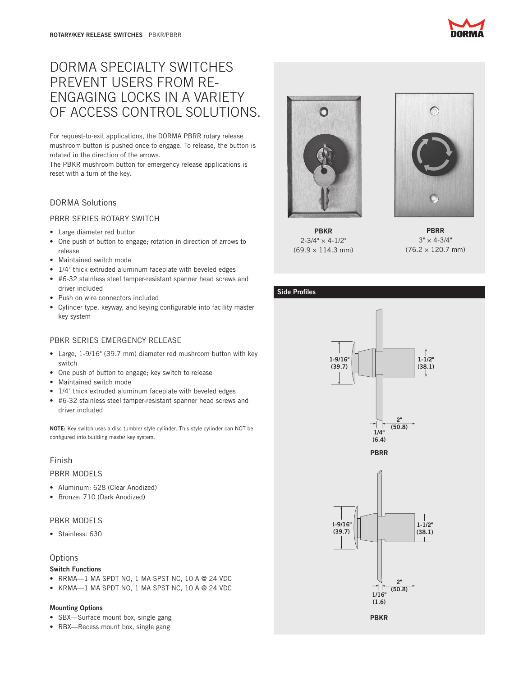# DORMA SPECIALTY SWITCHES PREVENT USERS FROM RE-ENGAGING LOCKS IN A VARIETY OF ACCESS CONTROL SOLUTIONS.

For request-to-exit applications, the DORMA PBRR rotary release mushroom button is pushed once to engage. To release, the button is rotated in the direction of the arrows.

The PBKR mushroom button for emergency release applications is reset with a turn of the key.

# DORMA Solutions

## PBRR SERIES ROTARY SWITCH

- Large diameter red button
- One push of button to engage; rotation in direction of arrows to release
- Maintained switch mode
- 1/4" thick extruded aluminum faceplate with beveled edges
- • #6-32 stainless steel tamper-resistant spanner head screws and driver included
- Push on wire connectors included
- • Cylinder type, keyway, and keying configurable into facility master key system

# PBKR SERIES EMERGENCY RELEASE

- • Large, 1-9/16" (39.7 mm) diameter red mushroom button with key switch
- • One push of button to engage; key switch to release
- Maintained switch mode
- 1/4" thick extruded aluminum faceplate with beveled edges
- #6-32 stainless steel tamper-resistant spanner head screws and driver included

NOTE: Key switch uses a disc tumbler style cylinder. This style cylinder can NOT be configured into building master key system.

# Finish

#### PBRR MODELS

- Aluminum: 628 (Clear Anodized)
- • Bronze: 710 (Dark Anodized)

## PBKR MODELS

• Stainless: 630

## **Options**

#### Switch Functions

- RRMA—1 MA SPDT NO, 1 MA SPST NC, 10 A  $@$  24 VDC
- KRMA-1 MA SPDT NO, 1 MA SPST NC, 10 A @ 24 VDC

#### Mounting Options

- SBX-Surface mount box, single gang
- RBX—Recess mount box, single gang



PBKR  $2 - 3/4" \times 4 - 1/2"$ (69.9 × 114.3 mm)



PBRR  $3" \times 4 - 3/4"$ (76.2 × 120.7 mm)

### Side Profiles